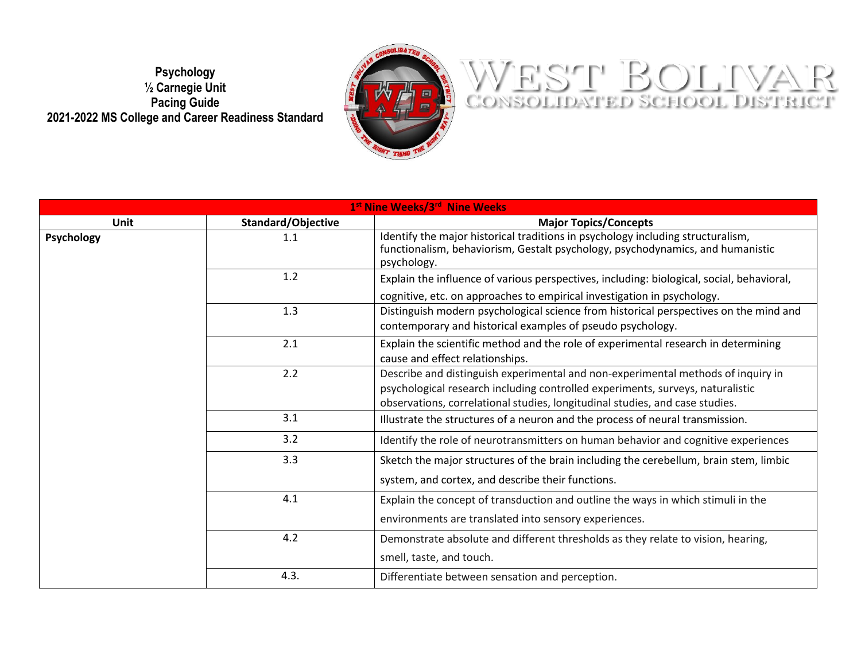**Psychology ½ Carnegie Unit Pacing Guide 2021-2022 MS College and Career Readiness Standard**



## WEST BOLIVAR

| 1st Nine Weeks/3rd Nine Weeks |                    |                                                                                                                                                                                                                                                    |  |
|-------------------------------|--------------------|----------------------------------------------------------------------------------------------------------------------------------------------------------------------------------------------------------------------------------------------------|--|
| Unit                          | Standard/Objective | <b>Major Topics/Concepts</b>                                                                                                                                                                                                                       |  |
| <b>Psychology</b>             | 1.1                | Identify the major historical traditions in psychology including structuralism,<br>functionalism, behaviorism, Gestalt psychology, psychodynamics, and humanistic<br>psychology.                                                                   |  |
|                               | 1.2                | Explain the influence of various perspectives, including: biological, social, behavioral,                                                                                                                                                          |  |
|                               |                    | cognitive, etc. on approaches to empirical investigation in psychology.                                                                                                                                                                            |  |
|                               | 1.3                | Distinguish modern psychological science from historical perspectives on the mind and<br>contemporary and historical examples of pseudo psychology.                                                                                                |  |
|                               | 2.1                | Explain the scientific method and the role of experimental research in determining<br>cause and effect relationships.                                                                                                                              |  |
|                               | 2.2                | Describe and distinguish experimental and non-experimental methods of inquiry in<br>psychological research including controlled experiments, surveys, naturalistic<br>observations, correlational studies, longitudinal studies, and case studies. |  |
|                               | 3.1                | Illustrate the structures of a neuron and the process of neural transmission.                                                                                                                                                                      |  |
|                               | 3.2                | Identify the role of neurotransmitters on human behavior and cognitive experiences                                                                                                                                                                 |  |
|                               | 3.3                | Sketch the major structures of the brain including the cerebellum, brain stem, limbic<br>system, and cortex, and describe their functions.                                                                                                         |  |
|                               | 4.1                | Explain the concept of transduction and outline the ways in which stimuli in the                                                                                                                                                                   |  |
|                               |                    | environments are translated into sensory experiences.                                                                                                                                                                                              |  |
|                               | 4.2                | Demonstrate absolute and different thresholds as they relate to vision, hearing,                                                                                                                                                                   |  |
|                               |                    | smell, taste, and touch.                                                                                                                                                                                                                           |  |
|                               | 4.3.               | Differentiate between sensation and perception.                                                                                                                                                                                                    |  |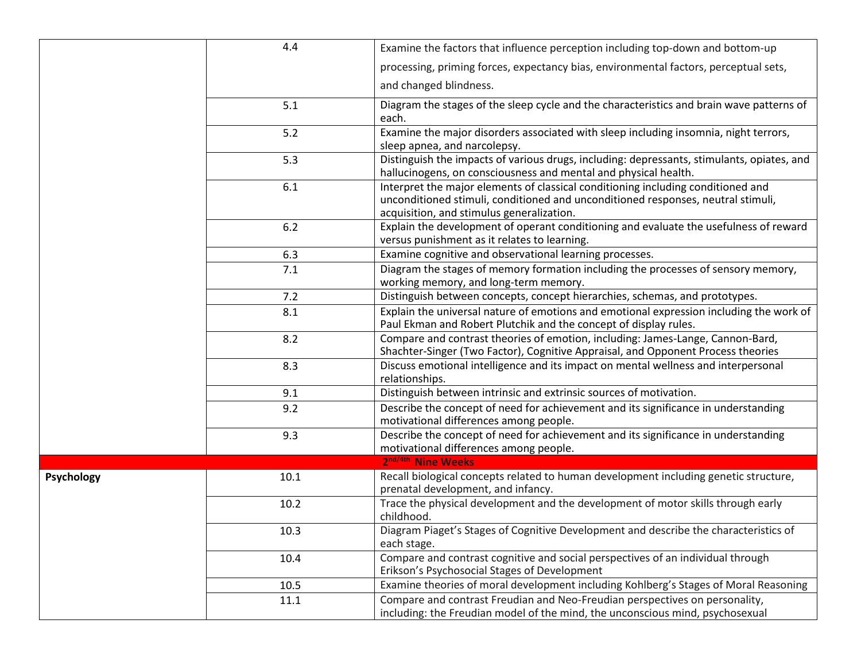|                   | 4.4   | Examine the factors that influence perception including top-down and bottom-up                                                                                                                                    |
|-------------------|-------|-------------------------------------------------------------------------------------------------------------------------------------------------------------------------------------------------------------------|
|                   |       | processing, priming forces, expectancy bias, environmental factors, perceptual sets,                                                                                                                              |
|                   |       | and changed blindness.                                                                                                                                                                                            |
|                   | 5.1   | Diagram the stages of the sleep cycle and the characteristics and brain wave patterns of<br>each.                                                                                                                 |
|                   | 5.2   | Examine the major disorders associated with sleep including insomnia, night terrors,<br>sleep apnea, and narcolepsy.                                                                                              |
|                   | 5.3   | Distinguish the impacts of various drugs, including: depressants, stimulants, opiates, and<br>hallucinogens, on consciousness and mental and physical health.                                                     |
|                   | 6.1   | Interpret the major elements of classical conditioning including conditioned and<br>unconditioned stimuli, conditioned and unconditioned responses, neutral stimuli,<br>acquisition, and stimulus generalization. |
|                   | $6.2$ | Explain the development of operant conditioning and evaluate the usefulness of reward<br>versus punishment as it relates to learning.                                                                             |
|                   | 6.3   | Examine cognitive and observational learning processes.                                                                                                                                                           |
|                   | 7.1   | Diagram the stages of memory formation including the processes of sensory memory,<br>working memory, and long-term memory.                                                                                        |
|                   | 7.2   | Distinguish between concepts, concept hierarchies, schemas, and prototypes.                                                                                                                                       |
|                   | 8.1   | Explain the universal nature of emotions and emotional expression including the work of<br>Paul Ekman and Robert Plutchik and the concept of display rules.                                                       |
|                   | 8.2   | Compare and contrast theories of emotion, including: James-Lange, Cannon-Bard,<br>Shachter-Singer (Two Factor), Cognitive Appraisal, and Opponent Process theories                                                |
|                   | 8.3   | Discuss emotional intelligence and its impact on mental wellness and interpersonal<br>relationships.                                                                                                              |
|                   | 9.1   | Distinguish between intrinsic and extrinsic sources of motivation.                                                                                                                                                |
|                   | 9.2   | Describe the concept of need for achievement and its significance in understanding<br>motivational differences among people.                                                                                      |
|                   | 9.3   | Describe the concept of need for achievement and its significance in understanding<br>motivational differences among people.                                                                                      |
|                   |       | 2 <sup>nd/4th</sup> Nine Weeks                                                                                                                                                                                    |
| <b>Psychology</b> | 10.1  | Recall biological concepts related to human development including genetic structure,<br>prenatal development, and infancy.                                                                                        |
|                   | 10.2  | Trace the physical development and the development of motor skills through early<br>childhood.                                                                                                                    |
|                   | 10.3  | Diagram Piaget's Stages of Cognitive Development and describe the characteristics of<br>each stage.                                                                                                               |
|                   | 10.4  | Compare and contrast cognitive and social perspectives of an individual through<br>Erikson's Psychosocial Stages of Development                                                                                   |
|                   | 10.5  | Examine theories of moral development including Kohlberg's Stages of Moral Reasoning                                                                                                                              |
|                   | 11.1  | Compare and contrast Freudian and Neo-Freudian perspectives on personality,<br>including: the Freudian model of the mind, the unconscious mind, psychosexual                                                      |